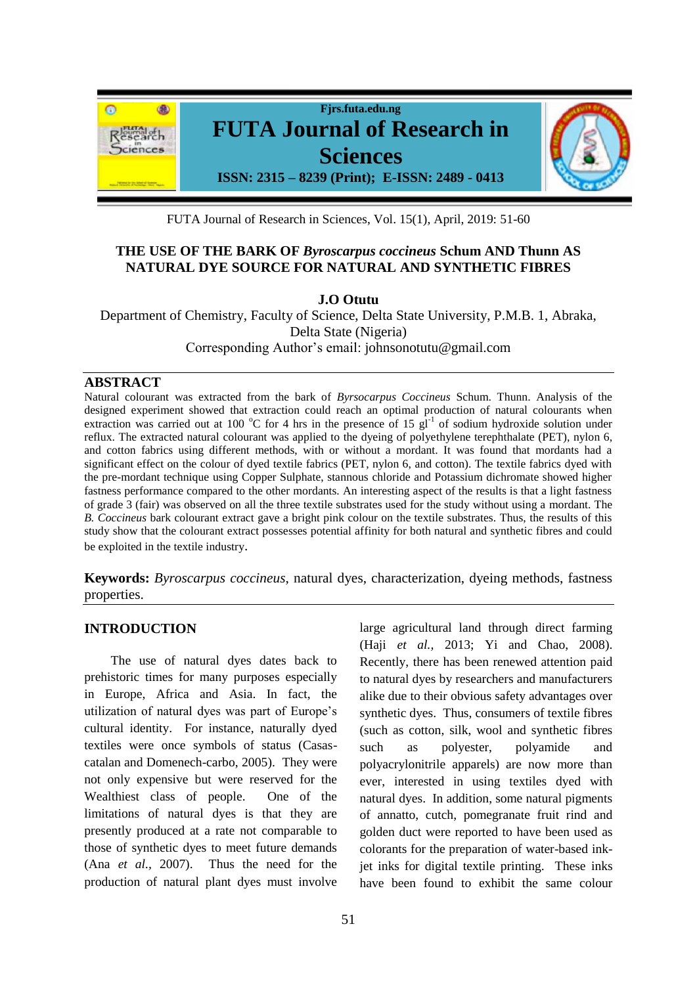

FUTA Journal of Research in Sciences, Vol. 15(1), April, 2019: 51-60

# **THE USE OF THE BARK OF** *Byroscarpus coccineus* **Schum AND Thunn AS NATURAL DYE SOURCE FOR NATURAL AND SYNTHETIC FIBRES**

**J.O Otutu**

Department of Chemistry, Faculty of Science, Delta State University, P.M.B. 1, Abraka, Delta State (Nigeria) Corresponding Author's email: johnsonotutu@gmail.com

# **ABSTRACT**

Natural colourant was extracted from the bark of *Byrsocarpus Coccineus* Schum. Thunn. Analysis of the designed experiment showed that extraction could reach an optimal production of natural colourants when extraction was carried out at 100 °C for 4 hrs in the presence of 15  $g_1^{-1}$  of sodium hydroxide solution under reflux. The extracted natural colourant was applied to the dyeing of polyethylene terephthalate (PET), nylon 6, and cotton fabrics using different methods, with or without a mordant. It was found that mordants had a significant effect on the colour of dyed textile fabrics (PET, nylon 6, and cotton). The textile fabrics dyed with the pre-mordant technique using Copper Sulphate, stannous chloride and Potassium dichromate showed higher fastness performance compared to the other mordants. An interesting aspect of the results is that a light fastness of grade 3 (fair) was observed on all the three textile substrates used for the study without using a mordant. The *B. Coccineus* bark colourant extract gave a bright pink colour on the textile substrates. Thus, the results of this study show that the colourant extract possesses potential affinity for both natural and synthetic fibres and could be exploited in the textile industry.

**Keywords:** *Byroscarpus coccineus*, natural dyes, characterization, dyeing methods, fastness properties.

# **INTRODUCTION**

The use of natural dyes dates back to prehistoric times for many purposes especially in Europe, Africa and Asia. In fact, the utilization of natural dyes was part of Europe's cultural identity. For instance, naturally dyed textiles were once symbols of status (Casascatalan and Domenech-carbo, 2005). They were not only expensive but were reserved for the Wealthiest class of people. One of the limitations of natural dyes is that they are presently produced at a rate not comparable to those of synthetic dyes to meet future demands (Ana *et al.,* 2007). Thus the need for the production of natural plant dyes must involve

large agricultural land through direct farming (Haji *et al.,* 2013; Yi and Chao, 2008). Recently, there has been renewed attention paid to natural dyes by researchers and manufacturers alike due to their obvious safety advantages over synthetic dyes. Thus, consumers of textile fibres (such as cotton, silk, wool and synthetic fibres such as polyester, polyamide and polyacrylonitrile apparels) are now more than ever, interested in using textiles dyed with natural dyes. In addition, some natural pigments of annatto, cutch, pomegranate fruit rind and golden duct were reported to have been used as colorants for the preparation of water-based inkjet inks for digital textile printing. These inks have been found to exhibit the same colour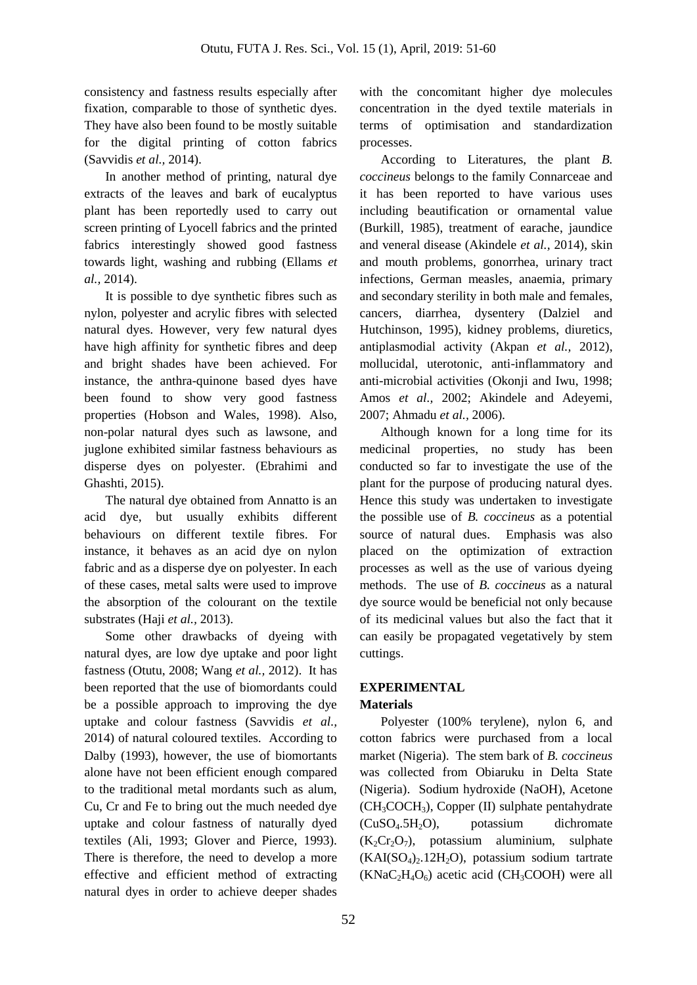consistency and fastness results especially after fixation, comparable to those of synthetic dyes. They have also been found to be mostly suitable for the digital printing of cotton fabrics (Savvidis *et al.,* 2014).

In another method of printing, natural dye extracts of the leaves and bark of eucalyptus plant has been reportedly used to carry out screen printing of Lyocell fabrics and the printed fabrics interestingly showed good fastness towards light, washing and rubbing (Ellams *et al.,* 2014).

It is possible to dye synthetic fibres such as nylon, polyester and acrylic fibres with selected natural dyes. However, very few natural dyes have high affinity for synthetic fibres and deep and bright shades have been achieved. For instance, the anthra-quinone based dyes have been found to show very good fastness properties (Hobson and Wales, 1998). Also, non-polar natural dyes such as lawsone, and juglone exhibited similar fastness behaviours as disperse dyes on polyester. (Ebrahimi and Ghashti, 2015).

The natural dye obtained from Annatto is an acid dye, but usually exhibits different behaviours on different textile fibres. For instance, it behaves as an acid dye on nylon fabric and as a disperse dye on polyester. In each of these cases, metal salts were used to improve the absorption of the colourant on the textile substrates (Haji *et al.,* 2013).

Some other drawbacks of dyeing with natural dyes, are low dye uptake and poor light fastness (Otutu, 2008; Wang *et al.,* 2012). It has been reported that the use of biomordants could be a possible approach to improving the dye uptake and colour fastness (Savvidis *et al.,* 2014) of natural coloured textiles. According to Dalby (1993), however, the use of biomortants alone have not been efficient enough compared to the traditional metal mordants such as alum, Cu, Cr and Fe to bring out the much needed dye uptake and colour fastness of naturally dyed textiles (Ali, 1993; Glover and Pierce, 1993). There is therefore, the need to develop a more effective and efficient method of extracting natural dyes in order to achieve deeper shades

with the concomitant higher dye molecules concentration in the dyed textile materials in terms of optimisation and standardization processes.

According to Literatures, the plant *B. coccineus* belongs to the family Connarceae and it has been reported to have various uses including beautification or ornamental value (Burkill, 1985), treatment of earache, jaundice and veneral disease (Akindele *et al.,* 2014), skin and mouth problems, gonorrhea, urinary tract infections, German measles, anaemia, primary and secondary sterility in both male and females, cancers, diarrhea, dysentery (Dalziel and Hutchinson, 1995), kidney problems, diuretics, antiplasmodial activity (Akpan *et al.,* 2012), mollucidal, uterotonic, anti-inflammatory and anti-microbial activities (Okonji and Iwu, 1998; Amos *et al.,* 2002; Akindele and Adeyemi, 2007; Ahmadu *et al.,* 2006).

Although known for a long time for its medicinal properties, no study has been conducted so far to investigate the use of the plant for the purpose of producing natural dyes. Hence this study was undertaken to investigate the possible use of *B. coccineus* as a potential source of natural dues. Emphasis was also placed on the optimization of extraction processes as well as the use of various dyeing methods. The use of *B. coccineus* as a natural dye source would be beneficial not only because of its medicinal values but also the fact that it can easily be propagated vegetatively by stem cuttings.

# **EXPERIMENTAL**

# **Materials**

Polyester (100% terylene), nylon 6, and cotton fabrics were purchased from a local market (Nigeria). The stem bark of *B. coccineus* was collected from Obiaruku in Delta State (Nigeria). Sodium hydroxide (NaOH), Acetone  $(CH_3COCH_3)$ , Copper (II) sulphate pentahydrate  $(CuSO<sub>4</sub>.5H<sub>2</sub>O)$ , potassium dichromate  $(K_2Cr_2O_7)$ , potassium aluminium, sulphate  $(KAI(SO<sub>4</sub>)<sub>2</sub>$ .12H<sub>2</sub>O), potassium sodium tartrate  $(KNaC<sub>2</sub>H<sub>4</sub>O<sub>6</sub>)$  acetic acid (CH<sub>3</sub>COOH) were all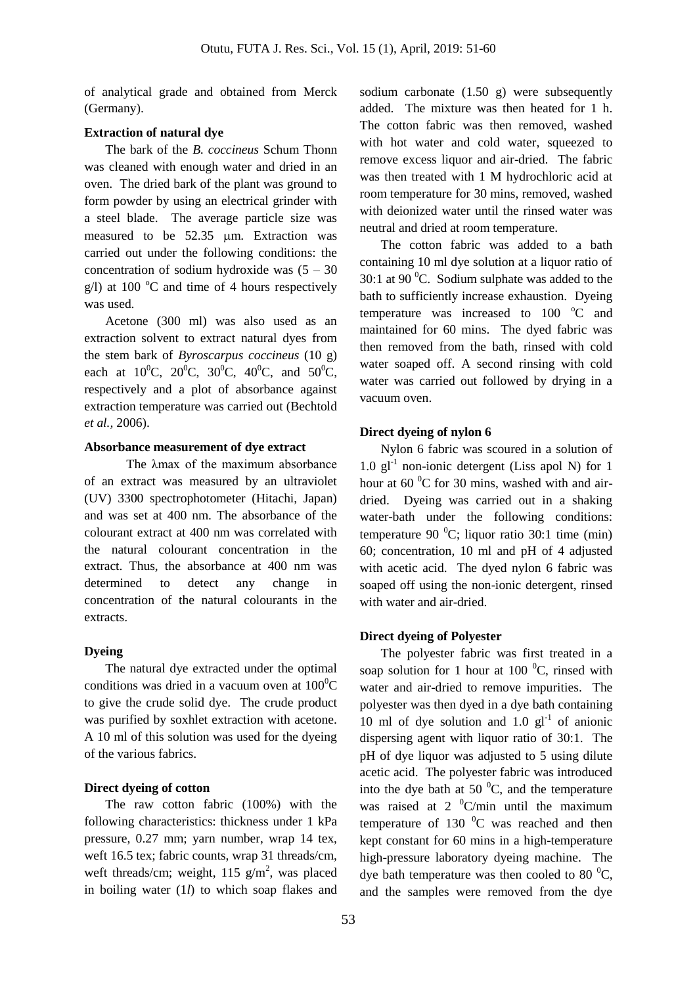of analytical grade and obtained from Merck (Germany).

#### **Extraction of natural dye**

The bark of the *B. coccineus* Schum Thonn was cleaned with enough water and dried in an oven. The dried bark of the plant was ground to form powder by using an electrical grinder with a steel blade. The average particle size was measured to be 52.35 µm. Extraction was carried out under the following conditions: the concentration of sodium hydroxide was  $(5 - 30)$ g/l) at 100  $^{\circ}$ C and time of 4 hours respectively was used.

Acetone (300 ml) was also used as an extraction solvent to extract natural dyes from the stem bark of *Byroscarpus coccineus* (10 g) each at  $10^0C$ ,  $20^0C$ ,  $30^0C$ ,  $40^0C$ , and  $50^0C$ , respectively and a plot of absorbance against extraction temperature was carried out (Bechtold *et al.,* 2006).

# **Absorbance measurement of dye extract**

The λmax of the maximum absorbance of an extract was measured by an ultraviolet (UV) 3300 spectrophotometer (Hitachi, Japan) and was set at 400 nm. The absorbance of the colourant extract at 400 nm was correlated with the natural colourant concentration in the extract. Thus, the absorbance at 400 nm was determined to detect any change in concentration of the natural colourants in the extracts.

#### **Dyeing**

The natural dye extracted under the optimal conditions was dried in a vacuum oven at  $100^0C$ to give the crude solid dye. The crude product was purified by soxhlet extraction with acetone. A 10 ml of this solution was used for the dyeing of the various fabrics.

#### **Direct dyeing of cotton**

The raw cotton fabric (100%) with the following characteristics: thickness under 1 kPa pressure, 0.27 mm; yarn number, wrap 14 tex, weft 16.5 tex; fabric counts, wrap 31 threads/cm, weft threads/cm; weight,  $115$  g/m<sup>2</sup>, was placed in boiling water (1*l*) to which soap flakes and

sodium carbonate (1.50 g) were subsequently added. The mixture was then heated for 1 h. The cotton fabric was then removed, washed with hot water and cold water, squeezed to remove excess liquor and air-dried. The fabric was then treated with 1 M hydrochloric acid at room temperature for 30 mins, removed, washed with deionized water until the rinsed water was neutral and dried at room temperature.

The cotton fabric was added to a bath containing 10 ml dye solution at a liquor ratio of 30:1 at 90 $\mathrm{^0C}$ . Sodium sulphate was added to the bath to sufficiently increase exhaustion. Dyeing temperature was increased to 100 °C and maintained for 60 mins. The dyed fabric was then removed from the bath, rinsed with cold water soaped off. A second rinsing with cold water was carried out followed by drying in a vacuum oven.

## **Direct dyeing of nylon 6**

Nylon 6 fabric was scoured in a solution of  $1.0$  gl<sup>-1</sup> non-ionic detergent (Liss apol N) for 1 hour at  $60<sup>0</sup>C$  for 30 mins, washed with and airdried. Dyeing was carried out in a shaking water-bath under the following conditions: temperature 90 $^{0}$ C; liquor ratio 30:1 time (min) 60; concentration, 10 ml and pH of 4 adjusted with acetic acid. The dyed nylon 6 fabric was soaped off using the non-ionic detergent, rinsed with water and air-dried.

# **Direct dyeing of Polyester**

The polyester fabric was first treated in a soap solution for 1 hour at 100 $\mathrm{^0C}$ , rinsed with water and air-dried to remove impurities. The polyester was then dyed in a dye bath containing 10 ml of dye solution and  $1.0 \text{ g}l^{-1}$  of anionic dispersing agent with liquor ratio of 30:1. The pH of dye liquor was adjusted to 5 using dilute acetic acid. The polyester fabric was introduced into the dye bath at 50 $\mathrm{^{0}C}$ , and the temperature was raised at 2  $\mathrm{^0C/min}$  until the maximum temperature of 130  $\mathrm{^0C}$  was reached and then kept constant for 60 mins in a high-temperature high-pressure laboratory dyeing machine. The dye bath temperature was then cooled to 80 $^0C$ , and the samples were removed from the dye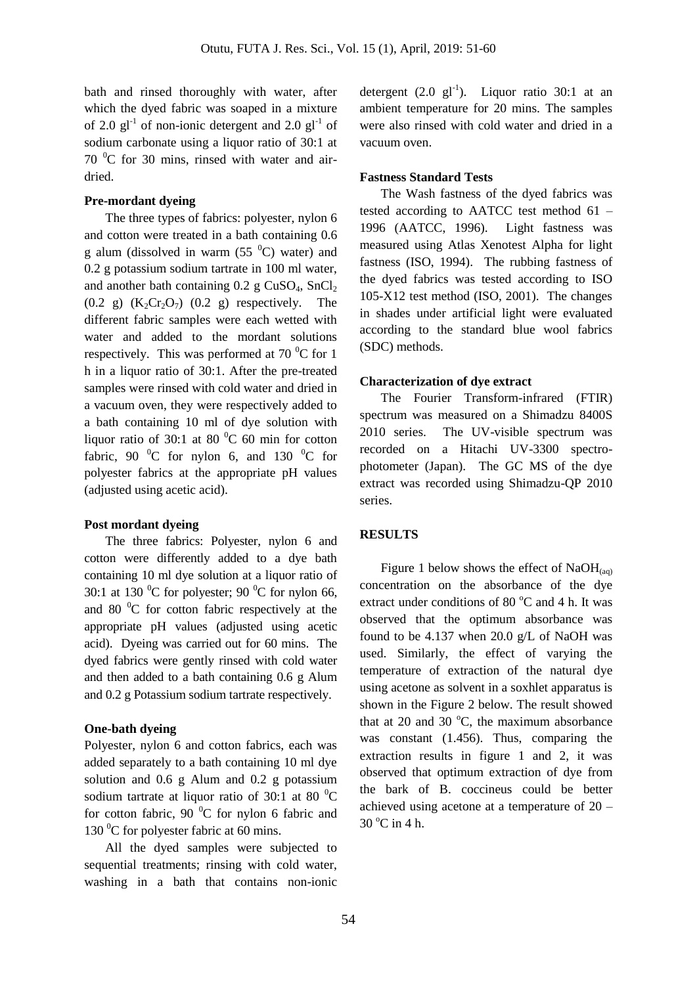bath and rinsed thoroughly with water, after which the dyed fabric was soaped in a mixture of 2.0  $gl^{-1}$  of non-ionic detergent and 2.0  $gl^{-1}$  of sodium carbonate using a liquor ratio of 30:1 at  $70<sup>0</sup>C$  for 30 mins, rinsed with water and airdried.

# **Pre-mordant dyeing**

The three types of fabrics: polyester, nylon 6 and cotton were treated in a bath containing 0.6 g alum (dissolved in warm  $(55<sup>0</sup>C)$  water) and 0.2 g potassium sodium tartrate in 100 ml water, and another bath containing  $0.2$  g CuSO<sub>4</sub>, SnCl<sub>2</sub>  $(0.2 \text{ g})$   $(K_2Cr_2O_7)$   $(0.2 \text{ g})$  respectively. The different fabric samples were each wetted with water and added to the mordant solutions respectively. This was performed at  $70<sup>0</sup>C$  for 1 h in a liquor ratio of 30:1. After the pre-treated samples were rinsed with cold water and dried in a vacuum oven, they were respectively added to a bath containing 10 ml of dye solution with liquor ratio of 30:1 at 80 $^{0}$ C 60 min for cotton fabric, 90  $^{0}$ C for nylon 6, and 130  $^{0}$ C for polyester fabrics at the appropriate pH values (adjusted using acetic acid).

## **Post mordant dyeing**

The three fabrics: Polyester, nylon 6 and cotton were differently added to a dye bath containing 10 ml dye solution at a liquor ratio of 30:1 at 130  $^{\circ}$ C for polyester; 90  $^{\circ}$ C for nylon 66, and 80 $\degree$ C for cotton fabric respectively at the appropriate pH values (adjusted using acetic acid). Dyeing was carried out for 60 mins. The dyed fabrics were gently rinsed with cold water and then added to a bath containing 0.6 g Alum and 0.2 g Potassium sodium tartrate respectively.

## **One-bath dyeing**

Polyester, nylon 6 and cotton fabrics, each was added separately to a bath containing 10 ml dye solution and 0.6 g Alum and 0.2 g potassium sodium tartrate at liquor ratio of 30:1 at 80 $\mathrm{^0C}$ for cotton fabric, 90 $^{0}$ C for nylon 6 fabric and 130  $\mathrm{^0C}$  for polyester fabric at 60 mins.

All the dyed samples were subjected to sequential treatments; rinsing with cold water, washing in a bath that contains non-ionic detergent  $(2.0 \text{ g}l^{-1})$ . Liquor ratio 30:1 at an ambient temperature for 20 mins. The samples were also rinsed with cold water and dried in a vacuum oven.

#### **Fastness Standard Tests**

The Wash fastness of the dyed fabrics was tested according to AATCC test method 61 – 1996 (AATCC, 1996). Light fastness was measured using Atlas Xenotest Alpha for light fastness (ISO, 1994). The rubbing fastness of the dyed fabrics was tested according to ISO 105-X12 test method (ISO, 2001). The changes in shades under artificial light were evaluated according to the standard blue wool fabrics (SDC) methods.

# **Characterization of dye extract**

The Fourier Transform-infrared (FTIR) spectrum was measured on a Shimadzu 8400S 2010 series. The UV-visible spectrum was recorded on a Hitachi UV-3300 spectrophotometer (Japan). The GC MS of the dye extract was recorded using Shimadzu-QP 2010 series.

## **RESULTS**

Figure 1 below shows the effect of  $NaOH_{(aa)}$ concentration on the absorbance of the dye extract under conditions of 80 $\degree$ C and 4 h. It was observed that the optimum absorbance was found to be 4.137 when 20.0  $g/L$  of NaOH was used. Similarly, the effect of varying the temperature of extraction of the natural dye using acetone as solvent in a soxhlet apparatus is shown in the Figure 2 below. The result showed that at 20 and 30  $^{\circ}$ C, the maximum absorbance was constant (1.456). Thus, comparing the extraction results in figure 1 and 2, it was observed that optimum extraction of dye from the bark of B. coccineus could be better achieved using acetone at a temperature of 20 –  $30^{\circ}$ C in 4 h.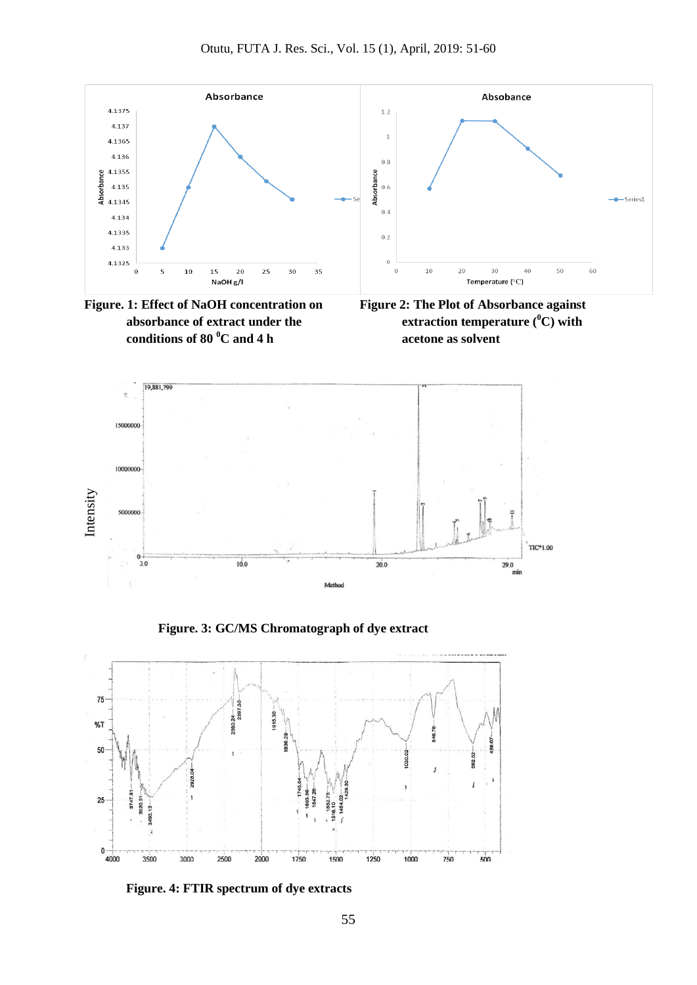



**Figure 2: The Plot of Absorbance against extraction temperature (<sup>0</sup>C) with acetone as solvent**



 **Figure. 3: GC/MS Chromatograph of dye extract**

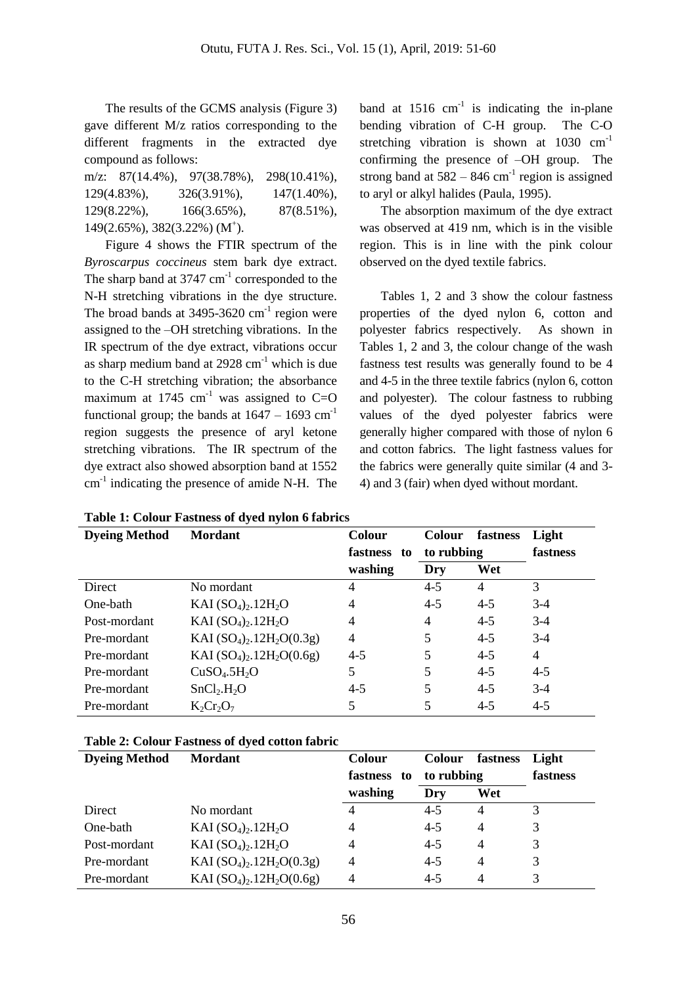The results of the GCMS analysis (Figure 3) gave different M/z ratios corresponding to the different fragments in the extracted dye compound as follows:

m/z: 87(14.4%), 97(38.78%), 298(10.41%), 129(4.83%), 326(3.91%), 147(1.40%), 129(8.22%), 166(3.65%), 87(8.51%), 149(2.65%), 382(3.22%) (M<sup>+</sup>).

Figure 4 shows the FTIR spectrum of the *Byroscarpus coccineus* stem bark dye extract. The sharp band at  $3747 \text{ cm}^{-1}$  corresponded to the N-H stretching vibrations in the dye structure. The broad bands at  $3495-3620$  cm<sup>-1</sup> region were assigned to the –OH stretching vibrations. In the IR spectrum of the dye extract, vibrations occur as sharp medium band at  $2928 \text{ cm}^{-1}$  which is due to the C-H stretching vibration; the absorbance maximum at 1745 cm<sup>-1</sup> was assigned to  $C=O$ functional group; the bands at  $1647 - 1693$  cm<sup>-1</sup> region suggests the presence of aryl ketone stretching vibrations. The IR spectrum of the dye extract also showed absorption band at 1552 cm<sup>-1</sup> indicating the presence of amide N-H. The

**Table 1: Colour Fastness of dyed nylon 6 fabrics**

band at  $1516 \text{ cm}^{-1}$  is indicating the in-plane bending vibration of C-H group. The C-O stretching vibration is shown at 1030 cm<sup>-1</sup> confirming the presence of –OH group. The strong band at  $582 - 846$  cm<sup>-1</sup> region is assigned to aryl or alkyl halides (Paula, 1995).

The absorption maximum of the dye extract was observed at 419 nm, which is in the visible region. This is in line with the pink colour observed on the dyed textile fabrics.

Tables 1, 2 and 3 show the colour fastness properties of the dyed nylon 6, cotton and polyester fabrics respectively. As shown in Tables 1, 2 and 3, the colour change of the wash fastness test results was generally found to be 4 and 4-5 in the three textile fabrics (nylon 6, cotton and polyester). The colour fastness to rubbing values of the dyed polyester fabrics were generally higher compared with those of nylon 6 and cotton fabrics. The light fastness values for the fabrics were generally quite similar (4 and 3- 4) and 3 (fair) when dyed without mordant.

| <b>Dyeing Method</b> | <b>Mordant</b>                           | Colour<br>fastness to | <b>Colour</b><br>fastness<br>to rubbing |         | Light<br>fastness |
|----------------------|------------------------------------------|-----------------------|-----------------------------------------|---------|-------------------|
|                      |                                          | washing               | Dry                                     | Wet     |                   |
| Direct               | No mordant                               |                       | $4 - 5$                                 | 4       | 3                 |
| One-bath             | KAI $(SO_4)_2.12H_2O$                    | 4                     | $4 - 5$                                 | $4 - 5$ | $3-4$             |
| Post-mordant         | $KAI (SO4)2.12H2O$                       | $\overline{4}$        | 4                                       | $4 - 5$ | $3-4$             |
| Pre-mordant          | KAI $(SO_4)_2.12H_2O(0.3g)$              | 4                     | 5                                       | $4 - 5$ | $3-4$             |
| Pre-mordant          | KAI $(SO_4)_2$ .12H <sub>2</sub> O(0.6g) | $4 - 5$               | 5                                       | $4 - 5$ | 4                 |
| Pre-mordant          | CuSO <sub>4</sub> .5H <sub>2</sub> O     | 5                     | 5                                       | $4 - 5$ | $4 - 5$           |
| Pre-mordant          | SnCl <sub>2</sub> .H <sub>2</sub> O      | $4 - 5$               | 5                                       | $4 - 5$ | $3-4$             |
| Pre-mordant          | $K_2Cr_2O_7$                             | 5                     | 5                                       | $4 - 5$ | $4 - 5$           |

#### **Table 2: Colour Fastness of dyed cotton fabric**

| <b>Dyeing Method</b> | <b>Mordant</b>                   | <b>Colour</b> | <b>Colour</b> | fastness       | Light    |
|----------------------|----------------------------------|---------------|---------------|----------------|----------|
|                      |                                  | fastness to   | to rubbing    |                | fastness |
|                      |                                  | washing       | Dry           | Wet            |          |
| Direct               | No mordant                       |               | $4 - 5$       | $\overline{4}$ | 3        |
| One-bath             | $KAI (SO4)2$ .12H <sub>2</sub> O | 4             | $4 - 5$       | $\overline{4}$ | 3        |
| Post-mordant         | KAI $(SO_4)_2.12H_2O$            | 4             | $4 - 5$       | $\overline{4}$ | 3        |
| Pre-mordant          | KAI $(SO_4)_2.12H_2O(0.3g)$      | 4             | $4 - 5$       | $\overline{4}$ | 3        |
| Pre-mordant          | KAI $(SO_4)_2.12H_2O(0.6g)$      | 4             | $4 - 5$       | $\overline{4}$ | 3        |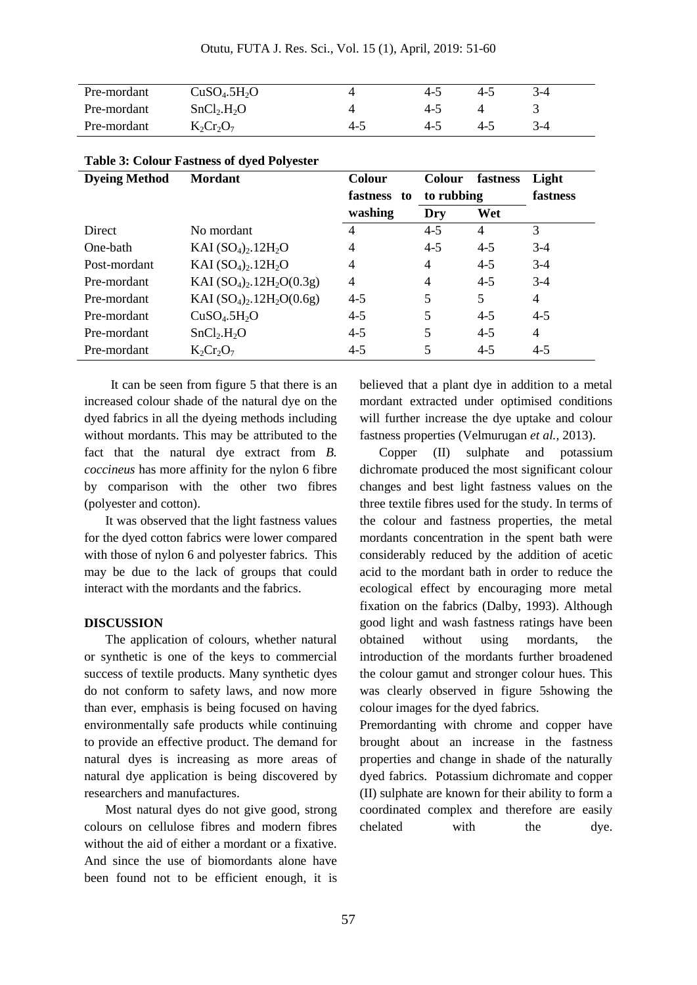| Pre-mordant | CuSO <sub>4</sub> .5H <sub>2</sub> O |         | 4-5 | $4 - 5$ | $3-4$ |
|-------------|--------------------------------------|---------|-----|---------|-------|
| Pre-mordant | SnCl <sub>2</sub> .H <sub>2</sub> O  |         | 4-5 |         |       |
| Pre-mordant | $K_2Cr_2O_7$                         | $4 - 5$ | 4-5 | 4-5     | $3-4$ |

| <b>Dyeing Method</b> | <b>Mordant</b>                       | Colour         | <b>Colour</b> | fastness       | Light    |
|----------------------|--------------------------------------|----------------|---------------|----------------|----------|
|                      |                                      | fastness to    | to rubbing    |                | fastness |
|                      |                                      | washing        | Dry           | Wet            |          |
| Direct               | No mordant                           |                | $4 - 5$       | 4              | 3        |
| One-bath             | $KAI (SO4)2.12H2O$                   | 4              | $4 - 5$       | $4-5$          | $3-4$    |
| Post-mordant         | $KAI (SO4)2$ .12H <sub>2</sub> O     | 4              | 4             | $4 - 5$        | $3-4$    |
| Pre-mordant          | KAI $(SO_4)_2.12H_2O(0.3g)$          | $\overline{4}$ | 4             | $4 - 5$        | $3-4$    |
| Pre-mordant          | KAI $(SO_4)_2.12H_2O(0.6g)$          | $4 - 5$        | 5             | 5 <sup>5</sup> | 4        |
| Pre-mordant          | CuSO <sub>4</sub> .5H <sub>2</sub> O | $4 - 5$        | 5             | $4 - 5$        | $4 - 5$  |
| Pre-mordant          | SnCl <sub>2</sub> .H <sub>2</sub> O  | $4 - 5$        | 5             | $4 - 5$        | 4        |
| Pre-mordant          | $K_2Cr_2O_7$                         | $4 - 5$        | 5             | $4 - 5$        | $4 - 5$  |

#### **Table 3: Colour Fastness of dyed Polyester**

It can be seen from figure 5 that there is an increased colour shade of the natural dye on the dyed fabrics in all the dyeing methods including without mordants. This may be attributed to the fact that the natural dye extract from *B. coccineus* has more affinity for the nylon 6 fibre by comparison with the other two fibres (polyester and cotton).

It was observed that the light fastness values for the dyed cotton fabrics were lower compared with those of nylon 6 and polyester fabrics. This may be due to the lack of groups that could interact with the mordants and the fabrics.

#### **DISCUSSION**

The application of colours, whether natural or synthetic is one of the keys to commercial success of textile products. Many synthetic dyes do not conform to safety laws, and now more than ever, emphasis is being focused on having environmentally safe products while continuing to provide an effective product. The demand for natural dyes is increasing as more areas of natural dye application is being discovered by researchers and manufactures.

Most natural dyes do not give good, strong colours on cellulose fibres and modern fibres without the aid of either a mordant or a fixative. And since the use of biomordants alone have been found not to be efficient enough, it is believed that a plant dye in addition to a metal mordant extracted under optimised conditions will further increase the dye uptake and colour fastness properties (Velmurugan *et al.,* 2013).

Copper (II) sulphate and potassium dichromate produced the most significant colour changes and best light fastness values on the three textile fibres used for the study. In terms of the colour and fastness properties, the metal mordants concentration in the spent bath were considerably reduced by the addition of acetic acid to the mordant bath in order to reduce the ecological effect by encouraging more metal fixation on the fabrics (Dalby, 1993). Although good light and wash fastness ratings have been obtained without using mordants, the introduction of the mordants further broadened the colour gamut and stronger colour hues. This was clearly observed in figure 5showing the colour images for the dyed fabrics.

Premordanting with chrome and copper have brought about an increase in the fastness properties and change in shade of the naturally dyed fabrics. Potassium dichromate and copper (II) sulphate are known for their ability to form a coordinated complex and therefore are easily chelated with the dye.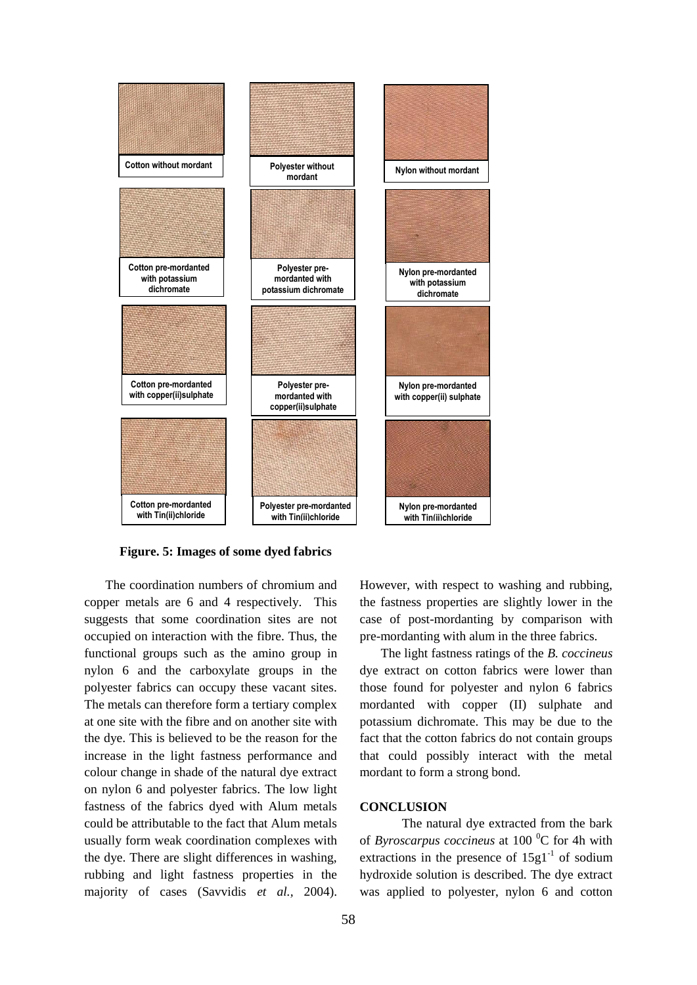

 **Figure. 5: Images of some dyed fabrics**

The coordination numbers of chromium and copper metals are 6 and 4 respectively. This suggests that some coordination sites are not occupied on interaction with the fibre. Thus, the functional groups such as the amino group in nylon 6 and the carboxylate groups in the polyester fabrics can occupy these vacant sites. The metals can therefore form a tertiary complex at one site with the fibre and on another site with the dye. This is believed to be the reason for the increase in the light fastness performance and colour change in shade of the natural dye extract on nylon 6 and polyester fabrics. The low light fastness of the fabrics dyed with Alum metals could be attributable to the fact that Alum metals usually form weak coordination complexes with the dye. There are slight differences in washing, rubbing and light fastness properties in the majority of cases (Savvidis *et al.,* 2004).

However, with respect to washing and rubbing, the fastness properties are slightly lower in the case of post-mordanting by comparison with pre-mordanting with alum in the three fabrics.

The light fastness ratings of the *B. coccineus* dye extract on cotton fabrics were lower than those found for polyester and nylon 6 fabrics mordanted with copper (II) sulphate and potassium dichromate. This may be due to the fact that the cotton fabrics do not contain groups that could possibly interact with the metal mordant to form a strong bond.

#### **CONCLUSION**

The natural dye extracted from the bark of *Byroscarpus coccineus* at 100 <sup>0</sup>C for 4h with extractions in the presence of  $15g1^{-1}$  of sodium hydroxide solution is described. The dye extract was applied to polyester, nylon 6 and cotton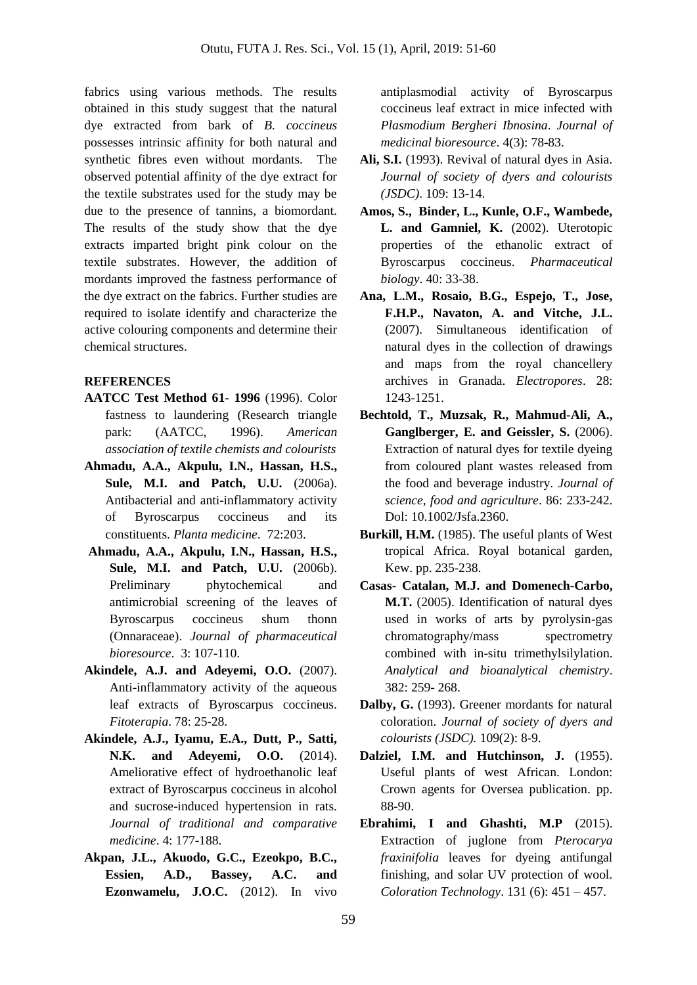fabrics using various methods. The results obtained in this study suggest that the natural dye extracted from bark of *B. coccineus* possesses intrinsic affinity for both natural and synthetic fibres even without mordants. The observed potential affinity of the dye extract for the textile substrates used for the study may be due to the presence of tannins, a biomordant. The results of the study show that the dye extracts imparted bright pink colour on the textile substrates. However, the addition of mordants improved the fastness performance of the dye extract on the fabrics. Further studies are required to isolate identify and characterize the active colouring components and determine their chemical structures.

# **REFERENCES**

- **AATCC Test Method 61- 1996** (1996). Color fastness to laundering (Research triangle park: (AATCC, 1996). *American association of textile chemists and colourists*
- **Ahmadu, A.A., Akpulu, I.N., Hassan, H.S., Sule, M.I. and Patch, U.U.** (2006a). Antibacterial and anti-inflammatory activity of Byroscarpus coccineus and its constituents. *Planta medicine*. 72:203.
- **Ahmadu, A.A., Akpulu, I.N., Hassan, H.S., Sule, M.I. and Patch, U.U.** (2006b). Preliminary phytochemical and antimicrobial screening of the leaves of Byroscarpus coccineus shum thonn (Onnaraceae). *Journal of pharmaceutical bioresource*. 3: 107-110.
- **Akindele, A.J. and Adeyemi, O.O.** (2007). Anti-inflammatory activity of the aqueous leaf extracts of Byroscarpus coccineus. *Fitoterapia*. 78: 25-28.
- **Akindele, A.J., Iyamu, E.A., Dutt, P., Satti, N.K. and Adeyemi, O.O.** (2014). Ameliorative effect of hydroethanolic leaf extract of Byroscarpus coccineus in alcohol and sucrose-induced hypertension in rats. *Journal of traditional and comparative medicine*. 4: 177-188.
- **Akpan, J.L., Akuodo, G.C., Ezeokpo, B.C., Essien, A.D., Bassey, A.C. and Ezonwamelu, J.O.C.** (2012). In vivo

antiplasmodial activity of Byroscarpus coccineus leaf extract in mice infected with *Plasmodium Bergheri Ibnosina*. *Journal of medicinal bioresource*. 4(3): 78-83.

- **Ali, S.I.** (1993). Revival of natural dyes in Asia. *Journal of society of dyers and colourists (JSDC)*. 109: 13-14.
- **Amos, S., Binder, L., Kunle, O.F., Wambede, L. and Gamniel, K.** (2002). Uterotopic properties of the ethanolic extract of Byroscarpus coccineus. *Pharmaceutical biology*. 40: 33-38.
- **Ana, L.M., Rosaio, B.G., Espejo, T., Jose, F.H.P., Navaton, A. and Vitche, J.L.** (2007). Simultaneous identification of natural dyes in the collection of drawings and maps from the royal chancellery archives in Granada. *Electropores*. 28: 1243-1251.
- **Bechtold, T., Muzsak, R., Mahmud-Ali, A., Ganglberger, E. and Geissler, S.** (2006). Extraction of natural dyes for textile dyeing from coloured plant wastes released from the food and beverage industry. *Journal of science, food and agriculture*. 86: 233-242. Dol: 10.1002/Jsfa.2360.
- **Burkill, H.M.** (1985). The useful plants of West tropical Africa. Royal botanical garden, Kew. pp. 235-238.
- **Casas- Catalan, M.J. and Domenech-Carbo, M.T.** (2005). Identification of natural dyes used in works of arts by pyrolysin-gas chromatography/mass spectrometry combined with in-situ trimethylsilylation. *Analytical and bioanalytical chemistry*. 382: 259- 268.
- **Dalby, G.** (1993). Greener mordants for natural coloration. *Journal of society of dyers and colourists (JSDC).* 109(2): 8-9.
- **Dalziel, I.M. and Hutchinson, J.** (1955). Useful plants of west African. London: Crown agents for Oversea publication. pp. 88-90.
- **Ebrahimi, I and Ghashti, M.P** (2015). Extraction of juglone from *Pterocarya fraxinifolia* leaves for dyeing antifungal finishing, and solar UV protection of wool. *Coloration Technology*. 131 (6): 451 – 457.